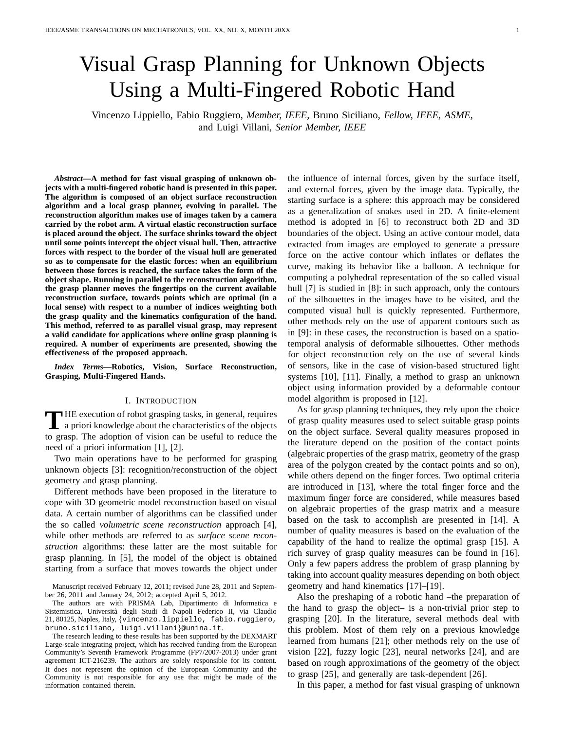# Visual Grasp Planning for Unknown Objects Using a Multi-Fingered Robotic Hand

Vincenzo Lippiello, Fabio Ruggiero, *Member, IEEE,* Bruno Siciliano, *Fellow, IEEE, ASME,* and Luigi Villani, *Senior Member, IEEE*

*Abstract***—A method for fast visual grasping of unknown objects with a multi-fingered robotic hand is presented in this paper. The algorithm is composed of an object surface reconstruction algorithm and a local grasp planner, evolving in parallel. The reconstruction algorithm makes use of images taken by a camera carried by the robot arm. A virtual elastic reconstruction surface is placed around the object. The surface shrinks toward the object until some points intercept the object visual hull. Then, attractive forces with respect to the border of the visual hull are generated so as to compensate for the elastic forces: when an equilibrium between those forces is reached, the surface takes the form of the object shape. Running in parallel to the reconstruction algorithm, the grasp planner moves the fingertips on the current available reconstruction surface, towards points which are optimal (in a local sense) with respect to a number of indices weighting both the grasp quality and the kinematics configuration of the hand. This method, referred to as parallel visual grasp, may represent a valid candidate for applications where online grasp planning is required. A number of experiments are presented, showing the effectiveness of the proposed approach.**

*Index Terms***—Robotics, Vision, Surface Reconstruction, Grasping, Multi-Fingered Hands.**

# I. INTRODUCTION

THE execution of robot grasping tasks, in general, requires<br>a priori knowledge about the characteristics of the objects a priori knowledge about the characteristics of the objects to grasp. The adoption of vision can be useful to reduce the need of a priori information [1], [2].

Two main operations have to be performed for grasping unknown objects [3]: recognition/reconstruction of the object geometry and grasp planning.

Different methods have been proposed in the literature to cope with 3D geometric model reconstruction based on visual data. A certain number of algorithms can be classified under the so called *volumetric scene reconstruction* approach [4], while other methods are referred to as *surface scene reconstruction* algorithms: these latter are the most suitable for grasp planning. In [5], the model of the object is obtained starting from a surface that moves towards the object under

Manuscript received February 12, 2011; revised June 28, 2011 and September 26, 2011 and January 24, 2012; accepted April 5, 2012.

The authors are with PRISMA Lab, Dipartimento di Informatica e Sistemistica, Università degli Studi di Napoli Federico II, via Claudio 21, 80125, Naples, Italy, {vincenzo.lippiello, fabio.ruggiero, bruno.siciliano, luigi.villani}@unina.it.

The research leading to these results has been supported by the DEXMART Large-scale integrating project, which has received funding from the European Community's Seventh Framework Programme (FP7/2007-2013) under grant agreement ICT-216239. The authors are solely responsible for its content. It does not represent the opinion of the European Community and the Community is not responsible for any use that might be made of the information contained therein.

the influence of internal forces, given by the surface itself, and external forces, given by the image data. Typically, the starting surface is a sphere: this approach may be considered as a generalization of snakes used in 2D. A finite-element method is adopted in [6] to reconstruct both 2D and 3D boundaries of the object. Using an active contour model, data extracted from images are employed to generate a pressure force on the active contour which inflates or deflates the curve, making its behavior like a balloon. A technique for computing a polyhedral representation of the so called visual hull [7] is studied in [8]: in such approach, only the contours of the silhouettes in the images have to be visited, and the computed visual hull is quickly represented. Furthermore, other methods rely on the use of apparent contours such as in [9]: in these cases, the reconstruction is based on a spatiotemporal analysis of deformable silhouettes. Other methods for object reconstruction rely on the use of several kinds of sensors, like in the case of vision-based structured light systems [10], [11]. Finally, a method to grasp an unknown object using information provided by a deformable contour model algorithm is proposed in [12].

As for grasp planning techniques, they rely upon the choice of grasp quality measures used to select suitable grasp points on the object surface. Several quality measures proposed in the literature depend on the position of the contact points (algebraic properties of the grasp matrix, geometry of the grasp area of the polygon created by the contact points and so on), while others depend on the finger forces. Two optimal criteria are introduced in [13], where the total finger force and the maximum finger force are considered, while measures based on algebraic properties of the grasp matrix and a measure based on the task to accomplish are presented in [14]. A number of quality measures is based on the evaluation of the capability of the hand to realize the optimal grasp [15]. A rich survey of grasp quality measures can be found in [16]. Only a few papers address the problem of grasp planning by taking into account quality measures depending on both object geometry and hand kinematics [17]–[19].

Also the preshaping of a robotic hand –the preparation of the hand to grasp the object– is a non-trivial prior step to grasping [20]. In the literature, several methods deal with this problem. Most of them rely on a previous knowledge learned from humans [21]; other methods rely on the use of vision [22], fuzzy logic [23], neural networks [24], and are based on rough approximations of the geometry of the object to grasp [25], and generally are task-dependent [26].

In this paper, a method for fast visual grasping of unknown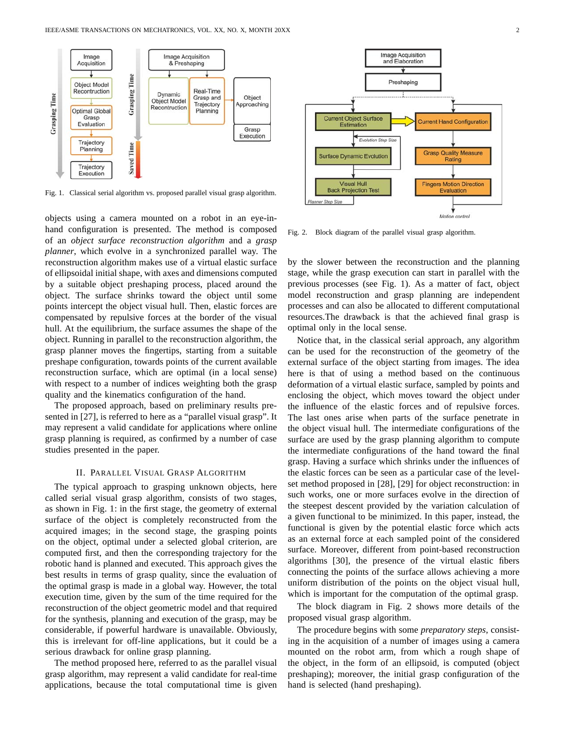

Fig. 1. Classical serial algorithm vs. proposed parallel visual grasp algorithm.

objects using a camera mounted on a robot in an eye-inhand configuration is presented. The method is composed of an *object surface reconstruction algorithm* and a *grasp planner*, which evolve in a synchronized parallel way. The reconstruction algorithm makes use of a virtual elastic surface of ellipsoidal initial shape, with axes and dimensions computed by a suitable object preshaping process, placed around the object. The surface shrinks toward the object until some points intercept the object visual hull. Then, elastic forces are compensated by repulsive forces at the border of the visual hull. At the equilibrium, the surface assumes the shape of the object. Running in parallel to the reconstruction algorithm, the grasp planner moves the fingertips, starting from a suitable preshape configuration, towards points of the current available reconstruction surface, which are optimal (in a local sense) with respect to a number of indices weighting both the grasp quality and the kinematics configuration of the hand.

The proposed approach, based on preliminary results presented in [27], is referred to here as a "parallel visual grasp". It may represent a valid candidate for applications where online grasp planning is required, as confirmed by a number of case studies presented in the paper.

# II. PARALLEL VISUAL GRASP ALGORITHM

The typical approach to grasping unknown objects, here called serial visual grasp algorithm, consists of two stages, as shown in Fig. 1: in the first stage, the geometry of external surface of the object is completely reconstructed from the acquired images; in the second stage, the grasping points on the object, optimal under a selected global criterion, are computed first, and then the corresponding trajectory for the robotic hand is planned and executed. This approach gives the best results in terms of grasp quality, since the evaluation of the optimal grasp is made in a global way. However, the total execution time, given by the sum of the time required for the reconstruction of the object geometric model and that required for the synthesis, planning and execution of the grasp, may be considerable, if powerful hardware is unavailable. Obviously, this is irrelevant for off-line applications, but it could be a serious drawback for online grasp planning.

The method proposed here, referred to as the parallel visual grasp algorithm, may represent a valid candidate for real-time applications, because the total computational time is given



Fig. 2. Block diagram of the parallel visual grasp algorithm.

by the slower between the reconstruction and the planning stage, while the grasp execution can start in parallel with the previous processes (see Fig. 1). As a matter of fact, object model reconstruction and grasp planning are independent processes and can also be allocated to different computational resources.The drawback is that the achieved final grasp is optimal only in the local sense.

Notice that, in the classical serial approach, any algorithm can be used for the reconstruction of the geometry of the external surface of the object starting from images. The idea here is that of using a method based on the continuous deformation of a virtual elastic surface, sampled by points and enclosing the object, which moves toward the object under the influence of the elastic forces and of repulsive forces. The last ones arise when parts of the surface penetrate in the object visual hull. The intermediate configurations of the surface are used by the grasp planning algorithm to compute the intermediate configurations of the hand toward the final grasp. Having a surface which shrinks under the influences of the elastic forces can be seen as a particular case of the levelset method proposed in [28], [29] for object reconstruction: in such works, one or more surfaces evolve in the direction of the steepest descent provided by the variation calculation of a given functional to be minimized. In this paper, instead, the functional is given by the potential elastic force which acts as an external force at each sampled point of the considered surface. Moreover, different from point-based reconstruction algorithms [30], the presence of the virtual elastic fibers connecting the points of the surface allows achieving a more uniform distribution of the points on the object visual hull, which is important for the computation of the optimal grasp.

The block diagram in Fig. 2 shows more details of the proposed visual grasp algorithm.

The procedure begins with some *preparatory steps*, consisting in the acquisition of a number of images using a camera mounted on the robot arm, from which a rough shape of the object, in the form of an ellipsoid, is computed (object preshaping); moreover, the initial grasp configuration of the hand is selected (hand preshaping).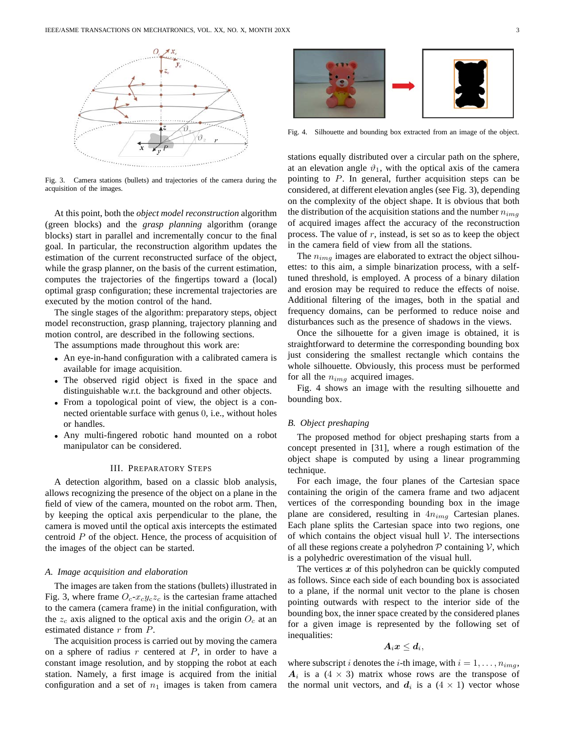

Fig. 3. Camera stations (bullets) and trajectories of the camera during the acquisition of the images.

At this point, both the *object model reconstruction* algorithm (green blocks) and the *grasp planning* algorithm (orange blocks) start in parallel and incrementally concur to the final goal. In particular, the reconstruction algorithm updates the estimation of the current reconstructed surface of the object, while the grasp planner, on the basis of the current estimation, computes the trajectories of the fingertips toward a (local) optimal grasp configuration; these incremental trajectories are executed by the motion control of the hand.

The single stages of the algorithm: preparatory steps, object model reconstruction, grasp planning, trajectory planning and motion control, are described in the following sections.

The assumptions made throughout this work are:

- An eye-in-hand configuration with a calibrated camera is available for image acquisition.
- The observed rigid object is fixed in the space and distinguishable w.r.t. the background and other objects.
- From a topological point of view, the object is a connected orientable surface with genus 0, i.e., without holes or handles.
- Any multi-fingered robotic hand mounted on a robot manipulator can be considered.

#### III. PREPARATORY STEPS

A detection algorithm, based on a classic blob analysis, allows recognizing the presence of the object on a plane in the field of view of the camera, mounted on the robot arm. Then, by keeping the optical axis perpendicular to the plane, the camera is moved until the optical axis intercepts the estimated centroid  $P$  of the object. Hence, the process of acquisition of the images of the object can be started.

## *A. Image acquisition and elaboration*

The images are taken from the stations (bullets) illustrated in Fig. 3, where frame  $O_c$ - $x_cy_cz_c$  is the cartesian frame attached to the camera (camera frame) in the initial configuration, with the  $z_c$  axis aligned to the optical axis and the origin  $O_c$  at an estimated distance r from P.

The acquisition process is carried out by moving the camera on a sphere of radius  $r$  centered at  $P$ , in order to have a constant image resolution, and by stopping the robot at each station. Namely, a first image is acquired from the initial configuration and a set of  $n_1$  images is taken from camera



Fig. 4. Silhouette and bounding box extracted from an image of the object.

stations equally distributed over a circular path on the sphere, at an elevation angle  $\vartheta_1$ , with the optical axis of the camera pointing to P. In general, further acquisition steps can be considered, at different elevation angles (see Fig. 3), depending on the complexity of the object shape. It is obvious that both the distribution of the acquisition stations and the number  $n_{ima}$ of acquired images affect the accuracy of the reconstruction process. The value of  $r$ , instead, is set so as to keep the object in the camera field of view from all the stations.

The  $n_{img}$  images are elaborated to extract the object silhouettes: to this aim, a simple binarization process, with a selftuned threshold, is employed. A process of a binary dilation and erosion may be required to reduce the effects of noise. Additional filtering of the images, both in the spatial and frequency domains, can be performed to reduce noise and disturbances such as the presence of shadows in the views.

Once the silhouette for a given image is obtained, it is straightforward to determine the corresponding bounding box just considering the smallest rectangle which contains the whole silhouette. Obviously, this process must be performed for all the  $n_{img}$  acquired images.

Fig. 4 shows an image with the resulting silhouette and bounding box.

## *B. Object preshaping*

The proposed method for object preshaping starts from a concept presented in [31], where a rough estimation of the object shape is computed by using a linear programming technique.

For each image, the four planes of the Cartesian space containing the origin of the camera frame and two adjacent vertices of the corresponding bounding box in the image plane are considered, resulting in  $4n_{img}$  Cartesian planes. Each plane splits the Cartesian space into two regions, one of which contains the object visual hull  $V$ . The intersections of all these regions create a polyhedron  $P$  containing  $V$ , which is a polyhedric overestimation of the visual hull.

The vertices  $x$  of this polyhedron can be quickly computed as follows. Since each side of each bounding box is associated to a plane, if the normal unit vector to the plane is chosen pointing outwards with respect to the interior side of the bounding box, the inner space created by the considered planes for a given image is represented by the following set of inequalities:

$$
\boldsymbol{A}_i \boldsymbol{x} \leq \boldsymbol{d}_i,
$$

where subscript i denotes the *i*-th image, with  $i = 1, \ldots, n_{imq}$ ,  $A_i$  is a (4  $\times$  3) matrix whose rows are the transpose of the normal unit vectors, and  $d_i$  is a  $(4 \times 1)$  vector whose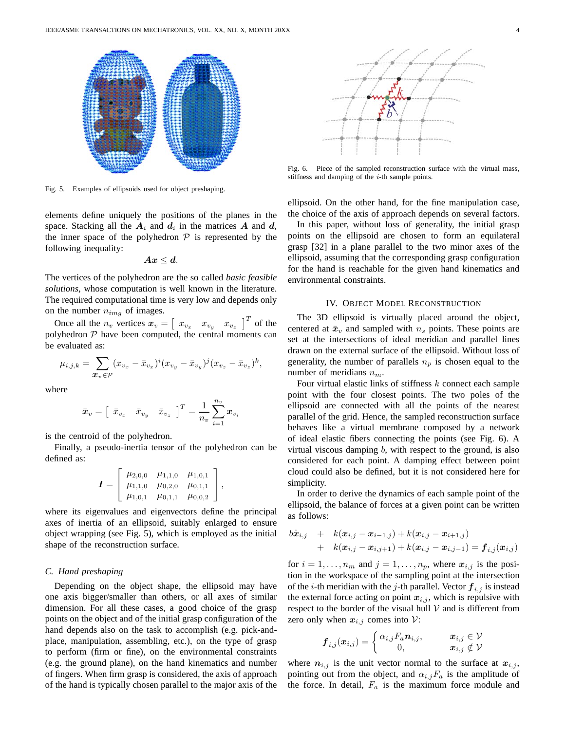

Fig. 5. Examples of ellipsoids used for object preshaping.

elements define uniquely the positions of the planes in the space. Stacking all the  $A_i$  and  $d_i$  in the matrices A and d, the inner space of the polyhedron  $P$  is represented by the following inequality:

$$
\boldsymbol{A x} \leq \boldsymbol{d}.
$$

The vertices of the polyhedron are the so called *basic feasible solutions*, whose computation is well known in the literature. The required computational time is very low and depends only on the number  $n_{img}$  of images.

Once all the  $n_v$  vertices  $x_v = \begin{bmatrix} x_{v_x} & x_{v_y} & x_{v_z} \end{bmatrix}^T$  of the polyhedron  $P$  have been computed, the central moments can be evaluated as:

$$
\mu_{i,j,k} = \sum_{\bm{x}_v \in \mathcal{P}} (x_{v_x} - \bar{x}_{v_x})^i (x_{v_y} - \bar{x}_{v_y})^j (x_{v_z} - \bar{x}_{v_z})^k,
$$

where

$$
\bar{\boldsymbol{x}}_v = \begin{bmatrix} \bar{x}_{v_x} & \bar{x}_{v_y} & \bar{x}_{v_z} \end{bmatrix}^T = \frac{1}{n_v} \sum_{i=1}^{n_v} \boldsymbol{x}_{v_i}
$$

is the centroid of the polyhedron.

Finally, a pseudo-inertia tensor of the polyhedron can be defined as:

$$
\boldsymbol{I} = \left[ \begin{array}{ccc} \mu_{2,0,0} & \mu_{1,1,0} & \mu_{1,0,1} \\ \mu_{1,1,0} & \mu_{0,2,0} & \mu_{0,1,1} \\ \mu_{1,0,1} & \mu_{0,1,1} & \mu_{0,0,2} \end{array} \right],
$$

where its eigenvalues and eigenvectors define the principal axes of inertia of an ellipsoid, suitably enlarged to ensure object wrapping (see Fig. 5), which is employed as the initial shape of the reconstruction surface.

# *C. Hand preshaping*

Depending on the object shape, the ellipsoid may have one axis bigger/smaller than others, or all axes of similar dimension. For all these cases, a good choice of the grasp points on the object and of the initial grasp configuration of the hand depends also on the task to accomplish (e.g. pick-andplace, manipulation, assembling, etc.), on the type of grasp to perform (firm or fine), on the environmental constraints (e.g. the ground plane), on the hand kinematics and number of fingers. When firm grasp is considered, the axis of approach of the hand is typically chosen parallel to the major axis of the



Fig. 6. Piece of the sampled reconstruction surface with the virtual mass, stiffness and damping of the  $i$ -th sample points.

ellipsoid. On the other hand, for the fine manipulation case, the choice of the axis of approach depends on several factors.

In this paper, without loss of generality, the initial grasp points on the ellipsoid are chosen to form an equilateral grasp [32] in a plane parallel to the two minor axes of the ellipsoid, assuming that the corresponding grasp configuration for the hand is reachable for the given hand kinematics and environmental constraints.

## IV. OBJECT MODEL RECONSTRUCTION

The 3D ellipsoid is virtually placed around the object, centered at  $\bar{x}_v$  and sampled with  $n_s$  points. These points are set at the intersections of ideal meridian and parallel lines drawn on the external surface of the ellipsoid. Without loss of generality, the number of parallels  $n_p$  is chosen equal to the number of meridians  $n_m$ .

Four virtual elastic links of stiffness  $k$  connect each sample point with the four closest points. The two poles of the ellipsoid are connected with all the points of the nearest parallel of the grid. Hence, the sampled reconstruction surface behaves like a virtual membrane composed by a network of ideal elastic fibers connecting the points (see Fig. 6). A virtual viscous damping  $b$ , with respect to the ground, is also considered for each point. A damping effect between point cloud could also be defined, but it is not considered here for simplicity.

In order to derive the dynamics of each sample point of the ellipsoid, the balance of forces at a given point can be written as follows:

$$
\begin{array}{lcl} b\dot{\bm{x}}_{i,j} &+& k(\bm{x}_{i,j}-\bm{x}_{i-1,j}) + k(\bm{x}_{i,j}-\bm{x}_{i+1,j}) \\ &+& k(\bm{x}_{i,j}-\bm{x}_{i,j+1}) + k(\bm{x}_{i,j}-\bm{x}_{i,j-1}) = \bm{f}_{i,j}(\bm{x}_{i,j}) \end{array}
$$

for  $i = 1, \ldots, n_m$  and  $j = 1, \ldots, n_p$ , where  $x_{i,j}$  is the position in the workspace of the sampling point at the intersection of the *i*-th meridian with the *j*-th parallel. Vector  $f_{i,j}$  is instead the external force acting on point  $x_{i,j}$ , which is repulsive with respect to the border of the visual hull  $V$  and is different from zero only when  $x_{i,j}$  comes into  $\mathcal{V}$ :

$$
\boldsymbol{f}_{i,j}(\boldsymbol{x}_{i,j}) = \left\{ \begin{array}{ll} \alpha_{i,j} F_a \boldsymbol{n}_{i,j}, & \boldsymbol{x}_{i,j} \in \mathcal{V} \\ 0, & \boldsymbol{x}_{i,j} \notin \mathcal{V} \end{array} \right.
$$

where  $n_{i,j}$  is the unit vector normal to the surface at  $x_{i,j}$ , pointing out from the object, and  $\alpha_{i,j}F_a$  is the amplitude of the force. In detail,  $F_a$  is the maximum force module and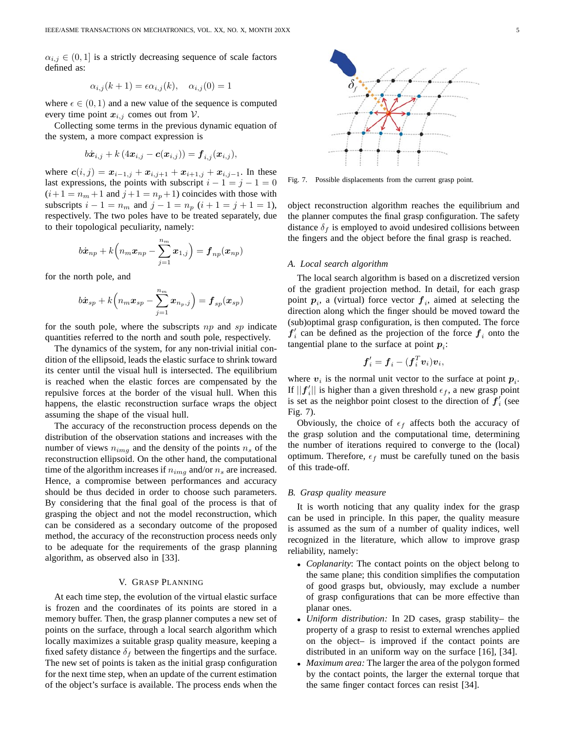$\alpha_{i,j} \in (0,1]$  is a strictly decreasing sequence of scale factors defined as:

$$
\alpha_{i,j}(k+1) = \epsilon \alpha_{i,j}(k), \quad \alpha_{i,j}(0) = 1
$$

where  $\epsilon \in (0, 1)$  and a new value of the sequence is computed every time point  $x_{i,j}$  comes out from  $\mathcal{V}$ .

Collecting some terms in the previous dynamic equation of the system, a more compact expression is

$$
b\dot{\boldsymbol{x}}_{i,j}+k\left(4\boldsymbol{x}_{i,j}-\boldsymbol{c}(\boldsymbol{x}_{i,j})\right)=\boldsymbol{f}_{i,j}(\boldsymbol{x}_{i,j}),
$$

where  $c(i, j) = x_{i-1,j} + x_{i,j+1} + x_{i+1,j} + x_{i,j-1}$ . In these last expressions, the points with subscript  $i - 1 = j - 1 = 0$  $(i+1 = n<sub>m</sub>+1$  and  $j+1 = n<sub>p</sub>+1$ ) coincides with those with subscripts  $i - 1 = n_m$  and  $j - 1 = n_p$   $(i + 1 = j + 1 = 1)$ , respectively. The two poles have to be treated separately, due to their topological peculiarity, namely:

$$
b\dot{\boldsymbol{x}}_{np}+k\Big(n_m\boldsymbol{x}_{np}-\sum_{j=1}^{n_m}\boldsymbol{x}_{1,j}\Big)=\boldsymbol{f}_{np}(\boldsymbol{x}_{np})
$$

for the north pole, and

$$
b\dot{\boldsymbol{x}}_{sp}+k\Big(n_m\boldsymbol{x}_{sp}-\sum_{j=1}^{n_m}\boldsymbol{x}_{n_p,j}\Big)=\boldsymbol{f}_{sp}(\boldsymbol{x}_{sp})
$$

for the south pole, where the subscripts  $np$  and  $sp$  indicate quantities referred to the north and south pole, respectively.

The dynamics of the system, for any non-trivial initial condition of the ellipsoid, leads the elastic surface to shrink toward its center until the visual hull is intersected. The equilibrium is reached when the elastic forces are compensated by the repulsive forces at the border of the visual hull. When this happens, the elastic reconstruction surface wraps the object assuming the shape of the visual hull.

The accuracy of the reconstruction process depends on the distribution of the observation stations and increases with the number of views  $n_{img}$  and the density of the points  $n_s$  of the reconstruction ellipsoid. On the other hand, the computational time of the algorithm increases if  $n_{img}$  and/or  $n_s$  are increased. Hence, a compromise between performances and accuracy should be thus decided in order to choose such parameters. By considering that the final goal of the process is that of grasping the object and not the model reconstruction, which can be considered as a secondary outcome of the proposed method, the accuracy of the reconstruction process needs only to be adequate for the requirements of the grasp planning algorithm, as observed also in [33].

# V. GRASP PLANNING

At each time step, the evolution of the virtual elastic surface is frozen and the coordinates of its points are stored in a memory buffer. Then, the grasp planner computes a new set of points on the surface, through a local search algorithm which locally maximizes a suitable grasp quality measure, keeping a fixed safety distance  $\delta_f$  between the fingertips and the surface. The new set of points is taken as the initial grasp configuration for the next time step, when an update of the current estimation of the object's surface is available. The process ends when the



Fig. 7. Possible displacements from the current grasp point.

object reconstruction algorithm reaches the equilibrium and the planner computes the final grasp configuration. The safety distance  $\delta_f$  is employed to avoid undesired collisions between the fingers and the object before the final grasp is reached.

# *A. Local search algorithm*

The local search algorithm is based on a discretized version of the gradient projection method. In detail, for each grasp point  $p_i$ , a (virtual) force vector  $f_i$ , aimed at selecting the direction along which the finger should be moved toward the (sub)optimal grasp configuration, is then computed. The force  $f'_i$  can be defined as the projection of the force  $f_i$  onto the tangential plane to the surface at point  $p_i$ :

$$
\boldsymbol{f}'_i = \boldsymbol{f}_i - (\boldsymbol{f}_i^T \boldsymbol{v}_i) \boldsymbol{v}_i,
$$

where  $v_i$  is the normal unit vector to the surface at point  $p_i$ . If  $||f'_i||$  is higher than a given threshold  $\epsilon_f$ , a new grasp point is set as the neighbor point closest to the direction of  $f_i'$  (see Fig. 7).

Obviously, the choice of  $\epsilon_f$  affects both the accuracy of the grasp solution and the computational time, determining the number of iterations required to converge to the (local) optimum. Therefore,  $\epsilon_f$  must be carefully tuned on the basis of this trade-off.

## *B. Grasp quality measure*

It is worth noticing that any quality index for the grasp can be used in principle. In this paper, the quality measure is assumed as the sum of a number of quality indices, well recognized in the literature, which allow to improve grasp reliability, namely:

- *Coplanarity*: The contact points on the object belong to the same plane; this condition simplifies the computation of good grasps but, obviously, may exclude a number of grasp configurations that can be more effective than planar ones.
- *Uniform distribution:* In 2D cases, grasp stability– the property of a grasp to resist to external wrenches applied on the object– is improved if the contact points are distributed in an uniform way on the surface [16], [34].
- *Maximum area:* The larger the area of the polygon formed by the contact points, the larger the external torque that the same finger contact forces can resist [34].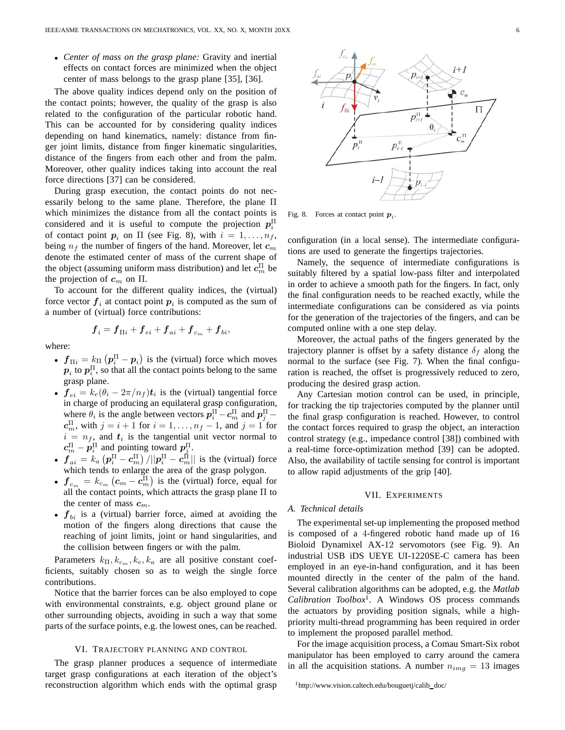• *Center of mass on the grasp plane:* Gravity and inertial effects on contact forces are minimized when the object center of mass belongs to the grasp plane [35], [36].

The above quality indices depend only on the position of the contact points; however, the quality of the grasp is also related to the configuration of the particular robotic hand. This can be accounted for by considering quality indices depending on hand kinematics, namely: distance from finger joint limits, distance from finger kinematic singularities, distance of the fingers from each other and from the palm. Moreover, other quality indices taking into account the real force directions [37] can be considered.

During grasp execution, the contact points do not necessarily belong to the same plane. Therefore, the plane Π which minimizes the distance from all the contact points is considered and it is useful to compute the projection  $p_i^{\Pi}$ of contact point  $p_i$  on  $\Pi$  (see Fig. 8), with  $i = 1, \ldots, n_f$ , being  $n_f$  the number of fingers of the hand. Moreover, let  $c_m$ denote the estimated center of mass of the current shape of the object (assuming uniform mass distribution) and let  $c_m^{\Pi}$  be the projection of  $c_m$  on  $\Pi$ .

To account for the different quality indices, the (virtual) force vector  $f_i$  at contact point  $p_i$  is computed as the sum of a number of (virtual) force contributions:

$$
\boldsymbol{f}_i = \boldsymbol{f}_{\Pi i} + \boldsymbol{f}_{e i} + \boldsymbol{f}_{a i} + \boldsymbol{f}_{c_m} + \boldsymbol{f}_{b i},
$$

where:

- $f_{\Pi i} = k_{\Pi} (p_i^{\Pi} p_i)$  is the (virtual) force which moves  $p_i$  to  $p_i^{\Pi}$ , so that all the contact points belong to the same grasp plane.
- $\mathbf{f}_{ei} = k_e(\theta_i 2\pi/n_f)\mathbf{t}_i$  is the (virtual) tangential force in charge of producing an equilateral grasp configuration, where  $\theta_i$  is the angle between vectors  $p_i^{\Pi} - c_m^{\Pi}$  and  $p_j^{\Pi}$  $c_m^{\Pi}$ , with  $j = i + 1$  for  $i = 1, \ldots, n_f - 1$ , and  $j = 1$  for  $i = n_f$ , and  $t_i$  is the tangential unit vector normal to  $\boldsymbol{c}_m^{\Pi} - \boldsymbol{p}_i^{\Pi}$  and pointing toward  $\boldsymbol{p}_j^{\Pi}$ .
- $f_{ai} = k_a \left( p_i^{\Pi} c_m^{\Pi} \right) / ||p_i^{\Pi} c_m^{\Pi}||$  is the (virtual) force which tends to enlarge the area of the grasp polygon.
- $\boldsymbol{f}_{c_m} = k_{c_m} \left( \boldsymbol{c}_m \boldsymbol{c}_m^{\Pi} \right)$  is the (virtual) force, equal for all the contact points, which attracts the grasp plane  $\Pi$  to the center of mass  $c_m$ .
- $f_{bi}$  is a (virtual) barrier force, aimed at avoiding the motion of the fingers along directions that cause the reaching of joint limits, joint or hand singularities, and the collision between fingers or with the palm.

Parameters  $k_{\text{II}}, k_{c_m}, k_e, k_a$  are all positive constant coefficients, suitably chosen so as to weigh the single force contributions.

Notice that the barrier forces can be also employed to cope with environmental constraints, e.g. object ground plane or other surrounding objects, avoiding in such a way that some parts of the surface points, e.g. the lowest ones, can be reached.

# VI. TRAJECTORY PLANNING AND CONTROL

The grasp planner produces a sequence of intermediate target grasp configurations at each iteration of the object's reconstruction algorithm which ends with the optimal grasp



Fig. 8. Forces at contact point  $p_i$ .

configuration (in a local sense). The intermediate configurations are used to generate the fingertips trajectories.

Namely, the sequence of intermediate configurations is suitably filtered by a spatial low-pass filter and interpolated in order to achieve a smooth path for the fingers. In fact, only the final configuration needs to be reached exactly, while the intermediate configurations can be considered as via points for the generation of the trajectories of the fingers, and can be computed online with a one step delay.

Moreover, the actual paths of the fingers generated by the trajectory planner is offset by a safety distance  $\delta_f$  along the normal to the surface (see Fig. 7). When the final configuration is reached, the offset is progressively reduced to zero, producing the desired grasp action.

Any Cartesian motion control can be used, in principle, for tracking the tip trajectories computed by the planner until the final grasp configuration is reached. However, to control the contact forces required to grasp the object, an interaction control strategy (e.g., impedance control [38]) combined with a real-time force-optimization method [39] can be adopted. Also, the availability of tactile sensing for control is important to allow rapid adjustments of the grip [40].

## VII. EXPERIMENTS

## *A. Technical details*

The experimental set-up implementing the proposed method is composed of a 4-fingered robotic hand made up of 16 Bioloid Dynamixel AX-12 servomotors (see Fig. 9). An industrial USB iDS UEYE UI-1220SE-C camera has been employed in an eye-in-hand configuration, and it has been mounted directly in the center of the palm of the hand. Several calibration algorithms can be adopted, e.g. the *Matlab Calibration Toolbox*<sup>1</sup> . A Windows OS process commands the actuators by providing position signals, while a highpriority multi-thread programming has been required in order to implement the proposed parallel method.

For the image acquisition process, a Comau Smart-Six robot manipulator has been employed to carry around the camera in all the acquisition stations. A number  $n_{img} = 13$  images

 $1$ http://www.vision.caltech.edu/bouguetj/calib\_doc/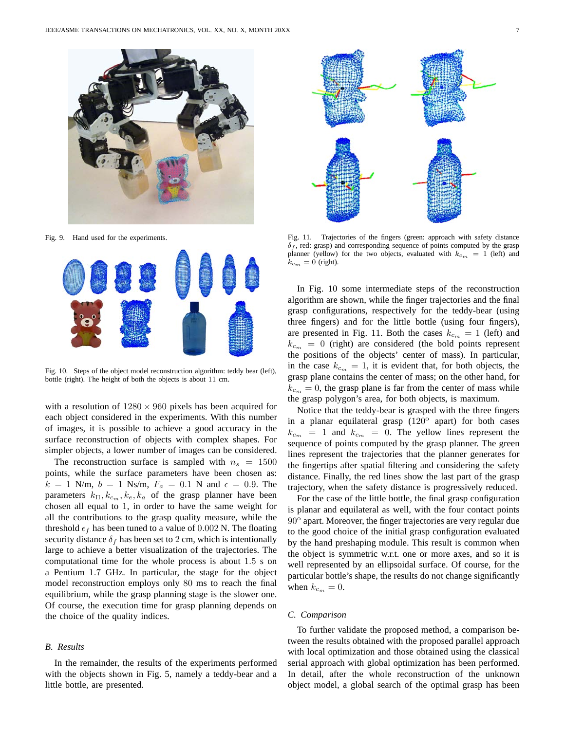

Fig. 9. Hand used for the experiments.



Fig. 10. Steps of the object model reconstruction algorithm: teddy bear (left), bottle (right). The height of both the objects is about 11 cm.

with a resolution of  $1280 \times 960$  pixels has been acquired for each object considered in the experiments. With this number of images, it is possible to achieve a good accuracy in the surface reconstruction of objects with complex shapes. For simpler objects, a lower number of images can be considered.

The reconstruction surface is sampled with  $n_s = 1500$ points, while the surface parameters have been chosen as:  $k = 1$  N/m,  $b = 1$  Ns/m,  $F_a = 0.1$  N and  $\epsilon = 0.9$ . The parameters  $k_{\text{II}}, k_{c_m}, k_e, k_a$  of the grasp planner have been chosen all equal to 1, in order to have the same weight for all the contributions to the grasp quality measure, while the threshold  $\epsilon_f$  has been tuned to a value of 0.002 N. The floating security distance  $\delta_f$  has been set to 2 cm, which is intentionally large to achieve a better visualization of the trajectories. The computational time for the whole process is about 1.5 s on a Pentium 1.7 GHz. In particular, the stage for the object model reconstruction employs only 80 ms to reach the final equilibrium, while the grasp planning stage is the slower one. Of course, the execution time for grasp planning depends on the choice of the quality indices.

#### *B. Results*

In the remainder, the results of the experiments performed with the objects shown in Fig. 5, namely a teddy-bear and a little bottle, are presented.



Fig. 11. Trajectories of the fingers (green: approach with safety distance  $\delta_f$ , red: grasp) and corresponding sequence of points computed by the grasp planner (yellow) for the two objects, evaluated with  $k_{c_m} = 1$  (left) and  $k_{c_m} = 0$  (right).

In Fig. 10 some intermediate steps of the reconstruction algorithm are shown, while the finger trajectories and the final grasp configurations, respectively for the teddy-bear (using three fingers) and for the little bottle (using four fingers), are presented in Fig. 11. Both the cases  $k_{c_m} = 1$  (left) and  $k_{c_m} = 0$  (right) are considered (the bold points represent the positions of the objects' center of mass). In particular, in the case  $k_{c_m} = 1$ , it is evident that, for both objects, the grasp plane contains the center of mass; on the other hand, for  $k_{c_m} = 0$ , the grasp plane is far from the center of mass while the grasp polygon's area, for both objects, is maximum.

Notice that the teddy-bear is grasped with the three fingers in a planar equilateral grasp  $(120^{\circ}$  apart) for both cases  $k_{c_m}$  = 1 and  $k_{c_m}$  = 0. The yellow lines represent the sequence of points computed by the grasp planner. The green lines represent the trajectories that the planner generates for the fingertips after spatial filtering and considering the safety distance. Finally, the red lines show the last part of the grasp trajectory, when the safety distance is progressively reduced.

For the case of the little bottle, the final grasp configuration is planar and equilateral as well, with the four contact points 90° apart. Moreover, the finger trajectories are very regular due to the good choice of the initial grasp configuration evaluated by the hand preshaping module. This result is common when the object is symmetric w.r.t. one or more axes, and so it is well represented by an ellipsoidal surface. Of course, for the particular bottle's shape, the results do not change significantly when  $k_{c_m} = 0$ .

#### *C. Comparison*

To further validate the proposed method, a comparison between the results obtained with the proposed parallel approach with local optimization and those obtained using the classical serial approach with global optimization has been performed. In detail, after the whole reconstruction of the unknown object model, a global search of the optimal grasp has been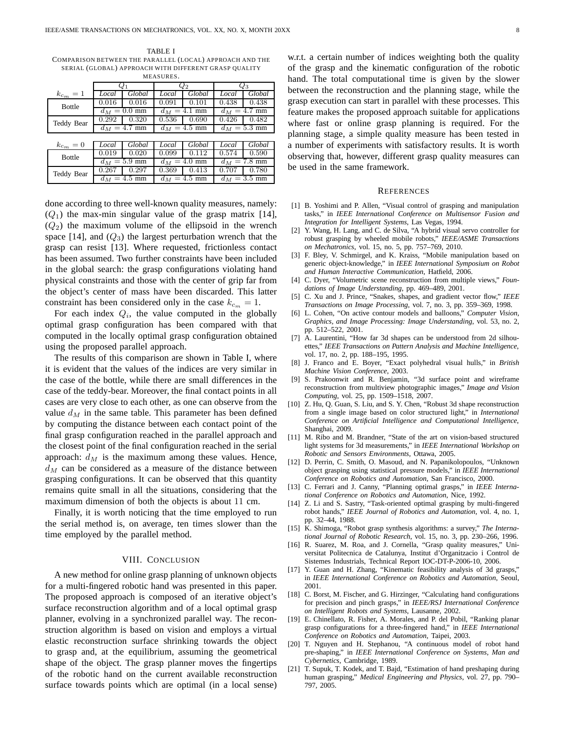TABLE I COMPARISON BETWEEN THE PARALLEL (LOCAL) APPROACH AND THE SERIAL (GLOBAL) APPROACH WITH DIFFERENT GRASP QUALITY MEASURES.

|               | $Q_1$          |        | $Q_2$          |        | $Q_3$          |        |
|---------------|----------------|--------|----------------|--------|----------------|--------|
| $k_{c_m}=1$   | Local          | Global | Local          | Global | Local          | Global |
| <b>Bottle</b> | 0.016          | 0.016  | 0.091          | 0.101  | 0.438          | 0.438  |
|               | $d_M = 0.0$ mm |        | $d_M = 4.1$ mm |        | $d_M = 4.7$ mm |        |
| Teddy Bear    | 0.292          | 0.320  | 0.536          | 0.690  | 0.426          | 0.482  |
|               | $d_M = 4.7$ mm |        | $d_M = 4.5$ mm |        | $d_M = 5.3$ mm |        |
|               |                |        |                |        |                |        |
| $k_{cm}=0$    | Local          | Global | Local          | Global | Local          | Global |
| <b>Bottle</b> | 0.019          | 0.020  | 0.099          | 0.112  | 0.574          | 0.590  |
|               | $d_M = 5.9$ mm |        | $d_M = 4.0$ mm |        | $d_M = 7.8$ mm |        |
| Teddy Bear    | 0.267          | 0.297  | 0.369          | 0.413  | 0.707          | 0.780  |
|               | $d_M = 4.5$ mm |        | $d_M = 4.5$ mm |        | $d_M = 3.5$ mm |        |

done according to three well-known quality measures, namely:  $(Q_1)$  the max-min singular value of the grasp matrix [14],  $(Q_2)$  the maximum volume of the ellipsoid in the wrench space [14], and  $(Q_3)$  the largest perturbation wrench that the grasp can resist [13]. Where requested, frictionless contact has been assumed. Two further constraints have been included in the global search: the grasp configurations violating hand physical constraints and those with the center of grip far from the object's center of mass have been discarded. This latter constraint has been considered only in the case  $k_{cm} = 1$ .

For each index  $Q_i$ , the value computed in the globally optimal grasp configuration has been compared with that computed in the locally optimal grasp configuration obtained using the proposed parallel approach.

The results of this comparison are shown in Table I, where it is evident that the values of the indices are very similar in the case of the bottle, while there are small differences in the case of the teddy-bear. Moreover, the final contact points in all cases are very close to each other, as one can observe from the value  $d_M$  in the same table. This parameter has been defined by computing the distance between each contact point of the final grasp configuration reached in the parallel approach and the closest point of the final configuration reached in the serial approach:  $d_M$  is the maximum among these values. Hence,  $d_M$  can be considered as a measure of the distance between grasping configurations. It can be observed that this quantity remains quite small in all the situations, considering that the maximum dimension of both the objects is about 11 cm.

Finally, it is worth noticing that the time employed to run the serial method is, on average, ten times slower than the time employed by the parallel method.

### VIII. CONCLUSION

A new method for online grasp planning of unknown objects for a multi-fingered robotic hand was presented in this paper. The proposed approach is composed of an iterative object's surface reconstruction algorithm and of a local optimal grasp planner, evolving in a synchronized parallel way. The reconstruction algorithm is based on vision and employs a virtual elastic reconstruction surface shrinking towards the object to grasp and, at the equilibrium, assuming the geometrical shape of the object. The grasp planner moves the fingertips of the robotic hand on the current available reconstruction surface towards points which are optimal (in a local sense) w.r.t. a certain number of indices weighting both the quality of the grasp and the kinematic configuration of the robotic hand. The total computational time is given by the slower between the reconstruction and the planning stage, while the grasp execution can start in parallel with these processes. This feature makes the proposed approach suitable for applications where fast or online grasp planning is required. For the planning stage, a simple quality measure has been tested in a number of experiments with satisfactory results. It is worth observing that, however, different grasp quality measures can be used in the same framework.

## **REFERENCES**

- [1] B. Yoshimi and P. Allen, "Visual control of grasping and manipulation tasks," in *IEEE International Conference on Multisensor Fusion and Integration for Intelligent Systems*, Las Vegas, 1994.
- [2] Y. Wang, H. Lang, and C. de Silva, "A hybrid visual servo controller for robust grasping by wheeled mobile robots," *IEEE/ASME Transactions on Mechatronics*, vol. 15, no. 5, pp. 757–769, 2010.
- [3] F. Bley, V. Schmirgel, and K. Kraiss, "Mobile manipulation based on generic object-knowledge," in *IEEE International Symposium on Robot and Human Interactive Communication*, Hatfield, 2006.
- [4] C. Dyer, "Volumetric scene reconstruction from multiple views," *Foundations of Image Understanding*, pp. 469–489, 2001.
- [5] C. Xu and J. Prince, "Snakes, shapes, and gradient vector flow," *IEEE Transactions on Image Processing*, vol. 7, no. 3, pp. 359–369, 1998.
- [6] L. Cohen, "On active contour models and balloons," *Computer Vision, Graphics, and Image Processing: Image Understanding*, vol. 53, no. 2, pp. 512–522, 2001.
- [7] A. Laurentini, "How far 3d shapes can be understood from 2d silhouettes," *IEEE Transactions on Pattern Analysis and Machine Intelligence*, vol. 17, no. 2, pp. 188–195, 1995.
- [8] J. Franco and E. Boyer, "Exact polyhedral visual hulls," in *British Machine Vision Conference*, 2003.
- [9] S. Prakoonwit and R. Benjamin, "3d surface point and wireframe reconstruction from multiview photographic images," *Image and Vision Computing*, vol. 25, pp. 1509–1518, 2007.
- [10] Z. Hu, O. Guan, S. Liu, and S. Y. Chen, "Robust 3d shape reconstruction from a single image based on color structured light," in *International Conference on Artificial Intelligence and Computational Intelligence*, Shanghai, 2009.
- [11] M. Ribo and M. Brandner, "State of the art on vision-based structured light systems for 3d measurements," in *IEEE International Workshop on Robotic and Sensors Environments*, Ottawa, 2005.
- [12] D. Perrin, C. Smith, O. Masoud, and N. Papanikolopoulos, "Unknown object grasping using statistical pressure models," in *IEEE International Conference on Robotics and Automation*, San Francisco, 2000.
- [13] C. Ferrari and J. Canny, "Planning optimal grasps," in *IEEE International Conference on Robotics and Automation*, Nice, 1992.
- [14] Z. Li and S. Sastry, "Task-oriented optimal grasping by multi-fingered robot hands," *IEEE Journal of Robotics and Automation*, vol. 4, no. 1, pp. 32–44, 1988.
- [15] K. Shimoga, "Robot grasp synthesis algorithms: a survey," *The International Journal of Robotic Research*, vol. 15, no. 3, pp. 230–266, 1996.
- [16] R. Suarez, M. Roa, and J. Cornella, "Grasp quality measures," Universitat Politecnica de Catalunya, Institut d'Organitzacio i Control de Sistemes Industrials, Technical Report IOC-DT-P-2006-10, 2006.
- [17] Y. Guan and H. Zhang, "Kinematic feasibility analysis of 3d grasps," in *IEEE International Conference on Robotics and Automation*, Seoul, 2001.
- [18] C. Borst, M. Fischer, and G. Hirzinger, "Calculating hand configurations for precision and pinch grasps," in *IEEE/RSJ International Conference on Intelligent Robots and Systems*, Lausanne, 2002.
- [19] E. Chinellato, R. Fisher, A. Morales, and P. del Pobil, "Ranking planar grasp configurations for a three-fingered hand," in *IEEE International Conference on Robotics and Automation*, Taipei, 2003.
- [20] T. Nguyen and H. Stephanou, "A continuous model of robot hand pre-shaping," in *IEEE International Conference on Systems, Man and Cybernetics*, Cambridge, 1989.
- [21] T. Supuk, T. Kodek, and T. Bajd, "Estimation of hand preshaping during human grasping," *Medical Engineering and Physics*, vol. 27, pp. 790– 797, 2005.